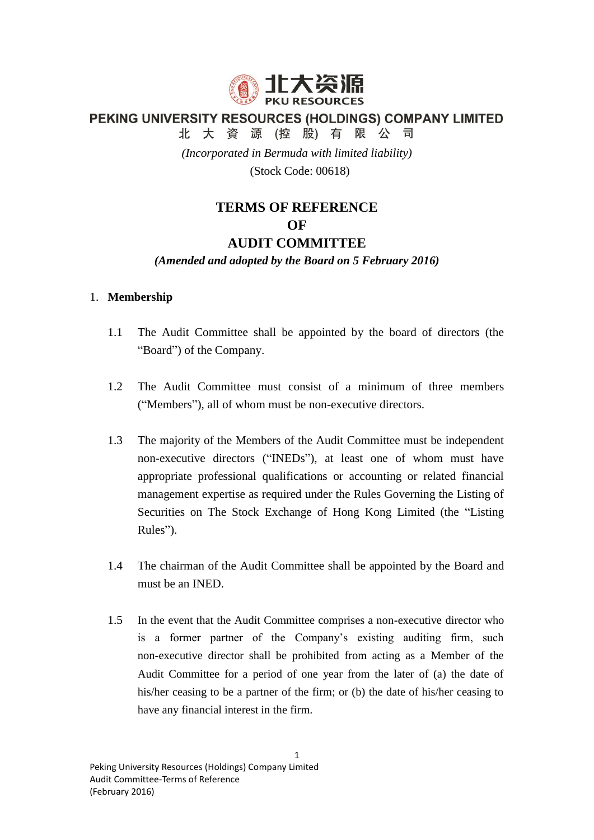

PEKING UNIVERSITY RESOURCES (HOLDINGS) COMPANY LIMITED

北大資源(控股)有限公司

*(Incorporated in Bermuda with limited liability)*

(Stock Code: 00618)

# **TERMS OF REFERENCE OF AUDIT COMMITTEE**

## *(Amended and adopted by the Board on 5 February 2016)*

## 1. **Membership**

- 1.1 The Audit Committee shall be appointed by the board of directors (the "Board") of the Company.
- 1.2 The Audit Committee must consist of a minimum of three members ("Members"), all of whom must be non-executive directors.
- 1.3 The majority of the Members of the Audit Committee must be independent non-executive directors ("INEDs"), at least one of whom must have appropriate professional qualifications or accounting or related financial management expertise as required under the Rules Governing the Listing of Securities on The Stock Exchange of Hong Kong Limited (the "Listing Rules").
- 1.4 The chairman of the Audit Committee shall be appointed by the Board and must be an INED.
- 1.5 In the event that the Audit Committee comprises a non-executive director who is a former partner of the Company's existing auditing firm, such non-executive director shall be prohibited from acting as a Member of the Audit Committee for a period of one year from the later of (a) the date of his/her ceasing to be a partner of the firm; or (b) the date of his/her ceasing to have any financial interest in the firm.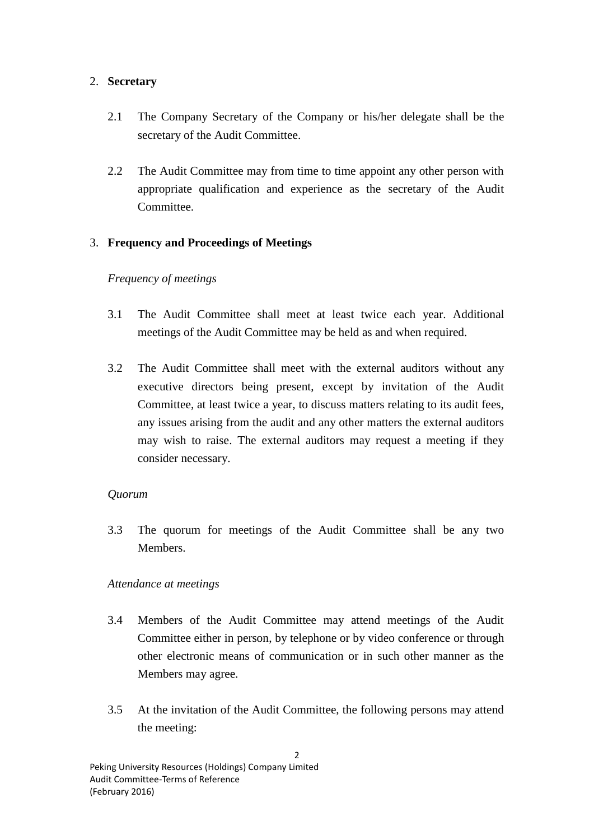#### 2. **Secretary**

- 2.1 The Company Secretary of the Company or his/her delegate shall be the secretary of the Audit Committee.
- 2.2 The Audit Committee may from time to time appoint any other person with appropriate qualification and experience as the secretary of the Audit Committee.

# 3. **Frequency and Proceedings of Meetings**

## *Frequency of meetings*

- 3.1 The Audit Committee shall meet at least twice each year. Additional meetings of the Audit Committee may be held as and when required.
- 3.2 The Audit Committee shall meet with the external auditors without any executive directors being present, except by invitation of the Audit Committee, at least twice a year, to discuss matters relating to its audit fees, any issues arising from the audit and any other matters the external auditors may wish to raise. The external auditors may request a meeting if they consider necessary.

#### *Quorum*

3.3 The quorum for meetings of the Audit Committee shall be any two Members.

#### *Attendance at meetings*

- 3.4 Members of the Audit Committee may attend meetings of the Audit Committee either in person, by telephone or by video conference or through other electronic means of communication or in such other manner as the Members may agree.
- 3.5 At the invitation of the Audit Committee, the following persons may attend the meeting: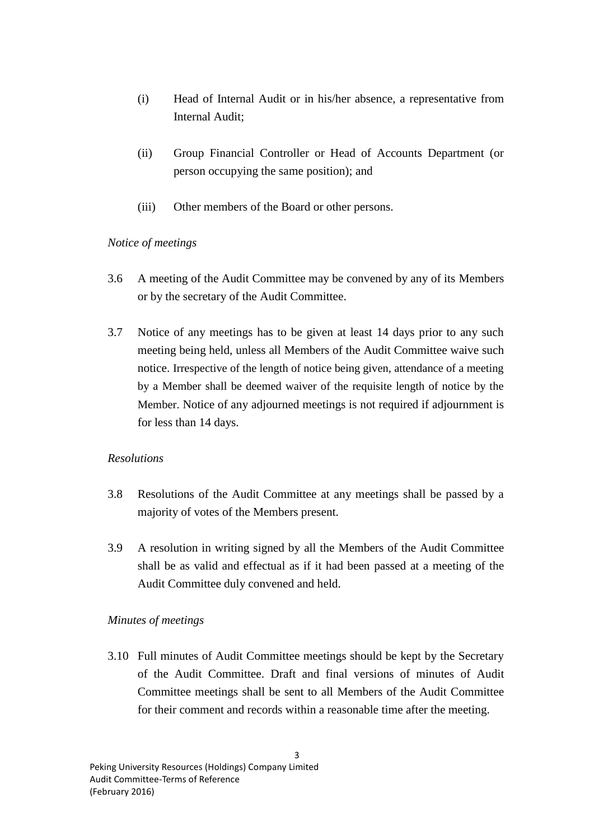- (i) Head of Internal Audit or in his/her absence, a representative from Internal Audit;
- (ii) Group Financial Controller or Head of Accounts Department (or person occupying the same position); and
- (iii) Other members of the Board or other persons.

## *Notice of meetings*

- 3.6 A meeting of the Audit Committee may be convened by any of its Members or by the secretary of the Audit Committee.
- 3.7 Notice of any meetings has to be given at least 14 days prior to any such meeting being held, unless all Members of the Audit Committee waive such notice. Irrespective of the length of notice being given, attendance of a meeting by a Member shall be deemed waiver of the requisite length of notice by the Member. Notice of any adjourned meetings is not required if adjournment is for less than 14 days.

# *Resolutions*

- 3.8 Resolutions of the Audit Committee at any meetings shall be passed by a majority of votes of the Members present.
- 3.9 A resolution in writing signed by all the Members of the Audit Committee shall be as valid and effectual as if it had been passed at a meeting of the Audit Committee duly convened and held.

# *Minutes of meetings*

3.10 Full minutes of Audit Committee meetings should be kept by the Secretary of the Audit Committee. Draft and final versions of minutes of Audit Committee meetings shall be sent to all Members of the Audit Committee for their comment and records within a reasonable time after the meeting.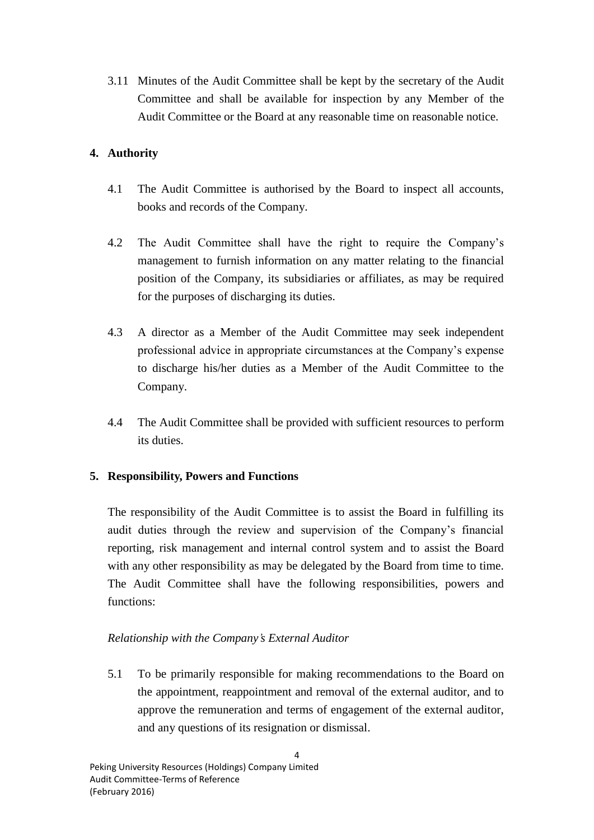3.11 Minutes of the Audit Committee shall be kept by the secretary of the Audit Committee and shall be available for inspection by any Member of the Audit Committee or the Board at any reasonable time on reasonable notice.

# **4. Authority**

- 4.1 The Audit Committee is authorised by the Board to inspect all accounts, books and records of the Company.
- 4.2 The Audit Committee shall have the right to require the Company's management to furnish information on any matter relating to the financial position of the Company, its subsidiaries or affiliates, as may be required for the purposes of discharging its duties.
- 4.3 A director as a Member of the Audit Committee may seek independent professional advice in appropriate circumstances at the Company's expense to discharge his/her duties as a Member of the Audit Committee to the Company.
- 4.4 The Audit Committee shall be provided with sufficient resources to perform its duties.

# **5. Responsibility, Powers and Functions**

The responsibility of the Audit Committee is to assist the Board in fulfilling its audit duties through the review and supervision of the Company's financial reporting, risk management and internal control system and to assist the Board with any other responsibility as may be delegated by the Board from time to time. The Audit Committee shall have the following responsibilities, powers and functions:

# *Relationship with the Company's External Auditor*

5.1 To be primarily responsible for making recommendations to the Board on the appointment, reappointment and removal of the external auditor, and to approve the remuneration and terms of engagement of the external auditor, and any questions of its resignation or dismissal.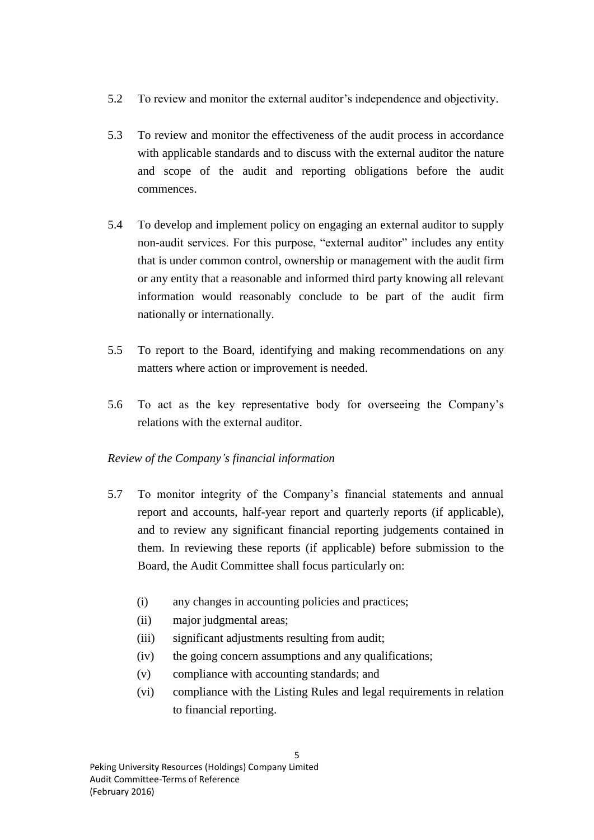- 5.2 To review and monitor the external auditor's independence and objectivity.
- 5.3 To review and monitor the effectiveness of the audit process in accordance with applicable standards and to discuss with the external auditor the nature and scope of the audit and reporting obligations before the audit commences.
- 5.4 To develop and implement policy on engaging an external auditor to supply non-audit services. For this purpose, "external auditor" includes any entity that is under common control, ownership or management with the audit firm or any entity that a reasonable and informed third party knowing all relevant information would reasonably conclude to be part of the audit firm nationally or internationally.
- 5.5 To report to the Board, identifying and making recommendations on any matters where action or improvement is needed.
- 5.6 To act as the key representative body for overseeing the Company's relations with the external auditor.

# *Review of the Company's financial information*

- 5.7 To monitor integrity of the Company's financial statements and annual report and accounts, half-year report and quarterly reports (if applicable), and to review any significant financial reporting judgements contained in them. In reviewing these reports (if applicable) before submission to the Board, the Audit Committee shall focus particularly on:
	- (i) any changes in accounting policies and practices;
	- (ii) major judgmental areas;
	- (iii) significant adjustments resulting from audit;
	- (iv) the going concern assumptions and any qualifications;
	- (v) compliance with accounting standards; and
	- (vi) compliance with the Listing Rules and legal requirements in relation to financial reporting.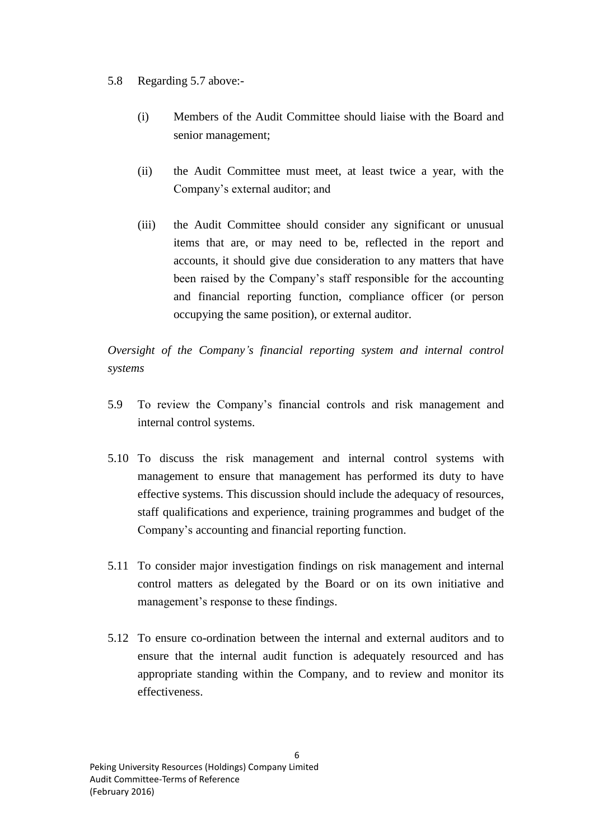#### 5.8 Regarding 5.7 above:-

- (i) Members of the Audit Committee should liaise with the Board and senior management;
- (ii) the Audit Committee must meet, at least twice a year, with the Company's external auditor; and
- (iii) the Audit Committee should consider any significant or unusual items that are, or may need to be, reflected in the report and accounts, it should give due consideration to any matters that have been raised by the Company's staff responsible for the accounting and financial reporting function, compliance officer (or person occupying the same position), or external auditor.

*Oversight of the Company's financial reporting system and internal control systems*

- 5.9 To review the Company's financial controls and risk management and internal control systems.
- 5.10 To discuss the risk management and internal control systems with management to ensure that management has performed its duty to have effective systems. This discussion should include the adequacy of resources, staff qualifications and experience, training programmes and budget of the Company's accounting and financial reporting function.
- 5.11 To consider major investigation findings on risk management and internal control matters as delegated by the Board or on its own initiative and management's response to these findings.
- 5.12 To ensure co-ordination between the internal and external auditors and to ensure that the internal audit function is adequately resourced and has appropriate standing within the Company, and to review and monitor its effectiveness.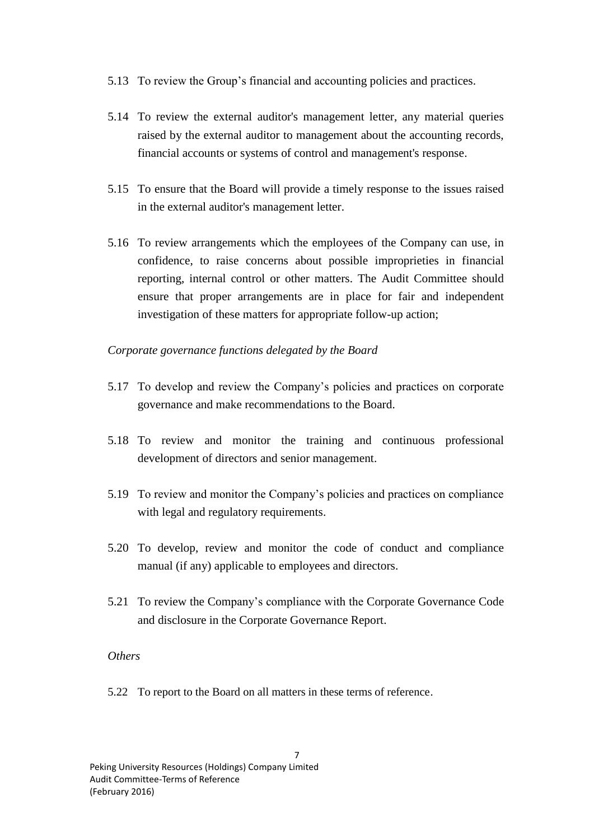- 5.13 To review the Group's financial and accounting policies and practices.
- 5.14 To review the external auditor's management letter, any material queries raised by the external auditor to management about the accounting records, financial accounts or systems of control and management's response.
- 5.15 To ensure that the Board will provide a timely response to the issues raised in the external auditor's management letter.
- 5.16 To review arrangements which the employees of the Company can use, in confidence, to raise concerns about possible improprieties in financial reporting, internal control or other matters. The Audit Committee should ensure that proper arrangements are in place for fair and independent investigation of these matters for appropriate follow-up action;

#### *Corporate governance functions delegated by the Board*

- 5.17 To develop and review the Company's policies and practices on corporate governance and make recommendations to the Board.
- 5.18 To review and monitor the training and continuous professional development of directors and senior management.
- 5.19 To review and monitor the Company's policies and practices on compliance with legal and regulatory requirements.
- 5.20 To develop, review and monitor the code of conduct and compliance manual (if any) applicable to employees and directors.
- 5.21 To review the Company's compliance with the Corporate Governance Code and disclosure in the Corporate Governance Report.

#### *Others*

5.22 To report to the Board on all matters in these terms of reference.